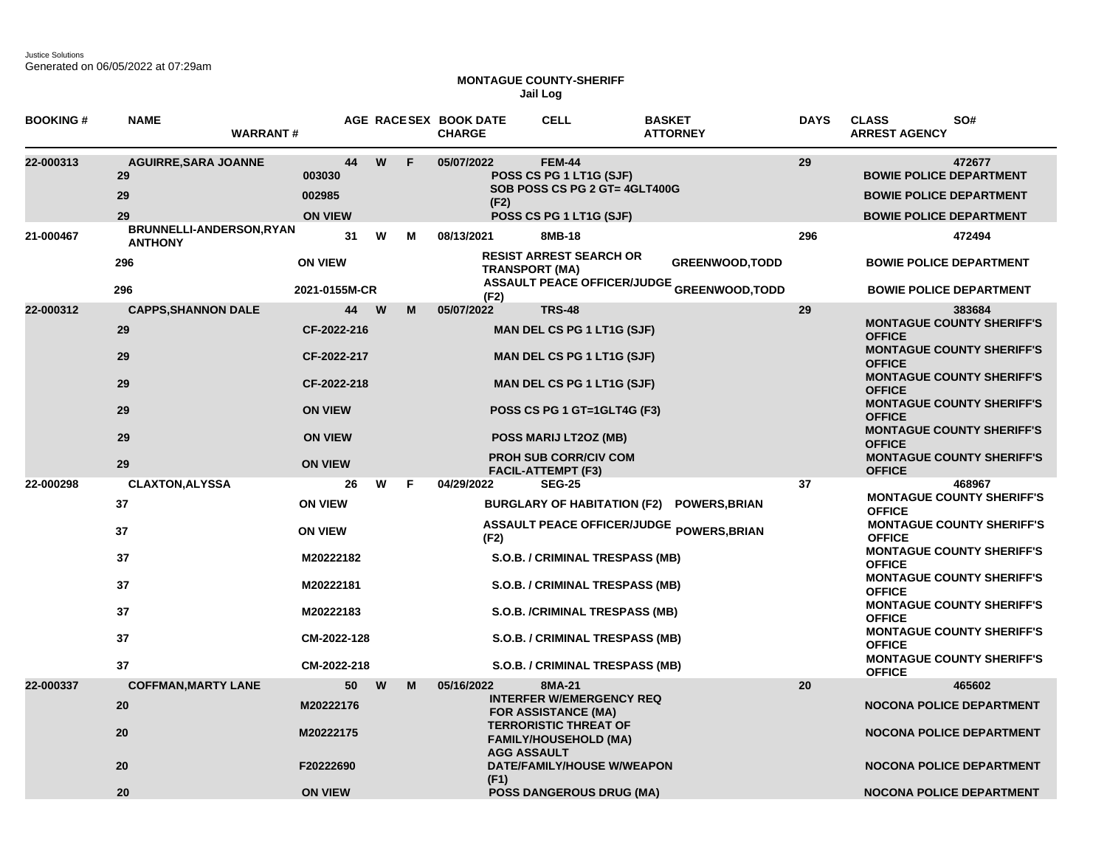Justice Solutions Generated on 06/05/2022 at 07:29am

## **MONTAGUE COUNTY-SHERIFF Jail Log**

| <b>BOOKING#</b> | <b>NAME</b><br><b>WARRANT#</b>                |                                    |    |          |    | AGE RACESEX BOOK DATE<br><b>CHARGE</b> | <b>CELL</b>                                                                                          | <b>BASKET</b><br><b>ATTORNEY</b>                                            | <b>DAYS</b> | <b>CLASS</b><br>SO#<br><b>ARREST AGENCY</b>                                                                  |
|-----------------|-----------------------------------------------|------------------------------------|----|----------|----|----------------------------------------|------------------------------------------------------------------------------------------------------|-----------------------------------------------------------------------------|-------------|--------------------------------------------------------------------------------------------------------------|
| 22-000313       | <b>AGUIRRE, SARA JOANNE</b><br>29<br>29<br>29 | 003030<br>002985<br><b>ON VIEW</b> | 44 | W        | F  | 05/07/2022<br>(F2)                     | <b>FEM-44</b><br>POSS CS PG 1 LT1G (SJF)<br>SOB POSS CS PG 2 GT= 4GLT400G<br>POSS CS PG 1 LT1G (SJF) |                                                                             | 29          | 472677<br><b>BOWIE POLICE DEPARTMENT</b><br><b>BOWIE POLICE DEPARTMENT</b><br><b>BOWIE POLICE DEPARTMENT</b> |
| 21-000467       | BRUNNELLI-ANDERSON, RYAN<br><b>ANTHONY</b>    |                                    | 31 | W        | м  | 08/13/2021                             | 8MB-18                                                                                               |                                                                             | 296         | 472494                                                                                                       |
|                 | 296<br>296                                    | <b>ON VIEW</b><br>2021-0155M-CR    |    |          |    | <b>TRANSPORT (MA)</b>                  | <b>RESIST ARREST SEARCH OR</b>                                                                       | <b>GREENWOOD, TODD</b><br><b>ASSAULT PEACE OFFICER/JUDGE GREENWOOD,TODD</b> |             | <b>BOWIE POLICE DEPARTMENT</b><br><b>BOWIE POLICE DEPARTMENT</b>                                             |
|                 |                                               |                                    |    |          |    | (F2)                                   |                                                                                                      |                                                                             |             |                                                                                                              |
| 22-000312       | <b>CAPPS, SHANNON DALE</b><br>29              | CF-2022-216                        | 44 | <b>W</b> | M  | 05/07/2022                             | <b>TRS-48</b><br><b>MAN DEL CS PG 1 LT1G (SJF)</b>                                                   |                                                                             | 29          | 383684<br><b>MONTAGUE COUNTY SHERIFF'S</b><br><b>OFFICE</b>                                                  |
|                 | 29                                            | CF-2022-217                        |    |          |    |                                        | <b>MAN DEL CS PG 1 LT1G (SJF)</b>                                                                    |                                                                             |             | <b>MONTAGUE COUNTY SHERIFF'S</b><br><b>OFFICE</b><br><b>MONTAGUE COUNTY SHERIFF'S</b>                        |
|                 | 29                                            | CF-2022-218                        |    |          |    |                                        | <b>MAN DEL CS PG 1 LT1G (SJF)</b>                                                                    |                                                                             |             | <b>OFFICE</b><br><b>MONTAGUE COUNTY SHERIFF'S</b>                                                            |
|                 | 29                                            | <b>ON VIEW</b>                     |    |          |    |                                        | POSS CS PG 1 GT=1GLT4G (F3)                                                                          |                                                                             |             | <b>OFFICE</b>                                                                                                |
|                 | 29                                            | <b>ON VIEW</b>                     |    |          |    |                                        | POSS MARIJ LT2OZ (MB)                                                                                |                                                                             |             | <b>MONTAGUE COUNTY SHERIFF'S</b><br><b>OFFICE</b>                                                            |
|                 | 29                                            | <b>ON VIEW</b>                     |    |          |    |                                        | <b>PROH SUB CORR/CIV COM</b><br><b>FACIL-ATTEMPT (F3)</b>                                            |                                                                             |             | <b>MONTAGUE COUNTY SHERIFF'S</b><br><b>OFFICE</b>                                                            |
| 22-000298       | <b>CLAXTON, ALYSSA</b>                        |                                    | 26 | W        | F. | 04/29/2022                             | <b>SEG-25</b>                                                                                        |                                                                             | 37          | 468967<br><b>MONTAGUE COUNTY SHERIFF'S</b>                                                                   |
|                 | 37                                            | <b>ON VIEW</b>                     |    |          |    |                                        |                                                                                                      | BURGLARY OF HABITATION (F2) POWERS, BRIAN                                   |             | <b>OFFICE</b>                                                                                                |
|                 | 37                                            | <b>ON VIEW</b>                     |    |          |    | (F2)                                   |                                                                                                      | ASSAULT PEACE OFFICER/JUDGE POWERS, BRIAN                                   |             | <b>MONTAGUE COUNTY SHERIFF'S</b><br><b>OFFICE</b>                                                            |
|                 | 37                                            | M20222182                          |    |          |    |                                        | S.O.B. / CRIMINAL TRESPASS (MB)                                                                      |                                                                             |             | <b>MONTAGUE COUNTY SHERIFF'S</b><br><b>OFFICE</b>                                                            |
|                 | 37                                            | M20222181                          |    |          |    |                                        | S.O.B. / CRIMINAL TRESPASS (MB)                                                                      |                                                                             |             | <b>MONTAGUE COUNTY SHERIFF'S</b><br><b>OFFICE</b><br><b>MONTAGUE COUNTY SHERIFF'S</b>                        |
|                 | 37                                            | M20222183                          |    |          |    |                                        | S.O.B. /CRIMINAL TRESPASS (MB)                                                                       |                                                                             |             | <b>OFFICE</b><br><b>MONTAGUE COUNTY SHERIFF'S</b>                                                            |
|                 | 37                                            | CM-2022-128                        |    |          |    |                                        | S.O.B. / CRIMINAL TRESPASS (MB)                                                                      |                                                                             |             | <b>OFFICE</b><br><b>MONTAGUE COUNTY SHERIFF'S</b>                                                            |
|                 | 37                                            | CM-2022-218                        |    |          |    |                                        | S.O.B. / CRIMINAL TRESPASS (MB)                                                                      |                                                                             |             | <b>OFFICE</b>                                                                                                |
| 22-000337       | <b>COFFMAN, MARTY LANE</b>                    |                                    | 50 | W        | М  | 05/16/2022                             | 8MA-21                                                                                               |                                                                             | 20          | 465602                                                                                                       |
|                 | 20                                            | M20222176                          |    |          |    |                                        | <b>INTERFER W/EMERGENCY REQ</b><br><b>FOR ASSISTANCE (MA)</b>                                        |                                                                             |             | <b>NOCONA POLICE DEPARTMENT</b>                                                                              |
|                 | 20                                            | M20222175                          |    |          |    | <b>AGG ASSAULT</b>                     | <b>TERRORISTIC THREAT OF</b><br><b>FAMILY/HOUSEHOLD (MA)</b>                                         |                                                                             |             | <b>NOCONA POLICE DEPARTMENT</b>                                                                              |
|                 | 20                                            | F20222690                          |    |          |    | (F1)                                   | DATE/FAMILY/HOUSE W/WEAPON                                                                           |                                                                             |             | <b>NOCONA POLICE DEPARTMENT</b>                                                                              |
|                 | 20                                            | <b>ON VIEW</b>                     |    |          |    |                                        | <b>POSS DANGEROUS DRUG (MA)</b>                                                                      |                                                                             |             | <b>NOCONA POLICE DEPARTMENT</b>                                                                              |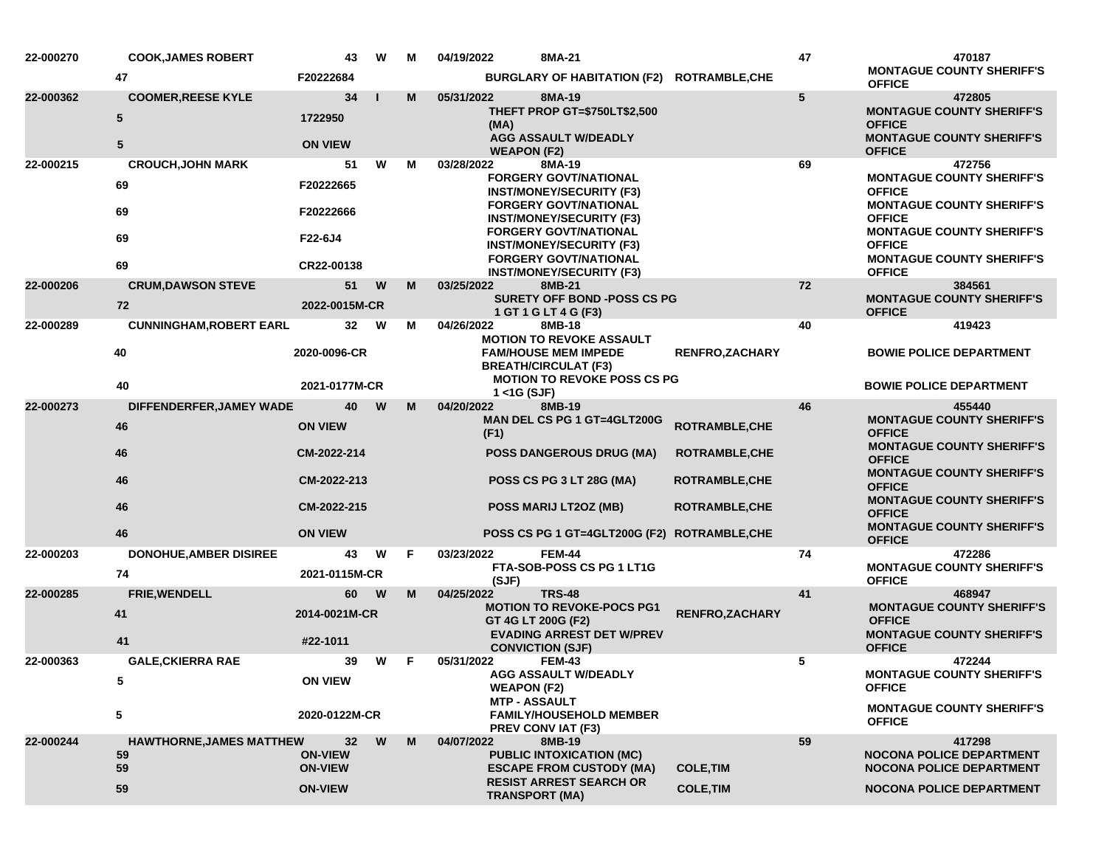| 22-000270 | <b>COOK, JAMES ROBERT</b>           | 43                               | W        | М | 04/19/2022                                                 | 8MA-21                                                                                          |                       | 47 | 470187                                                                                                           |
|-----------|-------------------------------------|----------------------------------|----------|---|------------------------------------------------------------|-------------------------------------------------------------------------------------------------|-----------------------|----|------------------------------------------------------------------------------------------------------------------|
|           | 47                                  | F20222684                        |          |   |                                                            | BURGLARY OF HABITATION (F2) ROTRAMBLE, CHE                                                      |                       |    | <b>MONTAGUE COUNTY SHERIFF'S</b><br><b>OFFICE</b>                                                                |
| 22-000362 | <b>COOMER, REESE KYLE</b><br>5<br>5 | 34<br>1722950<br><b>ON VIEW</b>  |          | M | 05/31/2022<br>(MA)<br><b>WEAPON (F2)</b>                   | 8MA-19<br>THEFT PROP GT=\$750LT\$2,500<br><b>AGG ASSAULT W/DEADLY</b>                           |                       | 5  | 472805<br><b>MONTAGUE COUNTY SHERIFF'S</b><br><b>OFFICE</b><br><b>MONTAGUE COUNTY SHERIFF'S</b><br><b>OFFICE</b> |
| 22-000215 | <b>CROUCH, JOHN MARK</b>            | 51                               | W        | м | 03/28/2022                                                 | 8MA-19                                                                                          |                       | 69 | 472756                                                                                                           |
|           | 69                                  | F20222665                        |          |   |                                                            | <b>FORGERY GOVT/NATIONAL</b><br><b>INST/MONEY/SECURITY (F3)</b><br><b>FORGERY GOVT/NATIONAL</b> |                       |    | <b>MONTAGUE COUNTY SHERIFF'S</b><br><b>OFFICE</b><br><b>MONTAGUE COUNTY SHERIFF'S</b>                            |
|           | 69                                  | F20222666                        |          |   |                                                            | <b>INST/MONEY/SECURITY (F3)</b><br><b>FORGERY GOVT/NATIONAL</b>                                 |                       |    | <b>OFFICE</b><br><b>MONTAGUE COUNTY SHERIFF'S</b>                                                                |
|           | 69                                  | F22-6J4                          |          |   |                                                            | <b>INST/MONEY/SECURITY (F3)</b><br><b>FORGERY GOVT/NATIONAL</b>                                 |                       |    | <b>OFFICE</b><br><b>MONTAGUE COUNTY SHERIFF'S</b>                                                                |
|           | 69                                  | CR22-00138                       |          |   |                                                            | <b>INST/MONEY/SECURITY (F3)</b>                                                                 |                       |    | <b>OFFICE</b>                                                                                                    |
| 22-000206 | <b>CRUM, DAWSON STEVE</b><br>72     | 51<br>2022-0015M-CR              | W        | М | 03/25/2022<br>1 GT 1 G LT 4 G (F3)                         | 8MB-21<br><b>SURETY OFF BOND -POSS CS PG</b>                                                    |                       | 72 | 384561<br><b>MONTAGUE COUNTY SHERIFF'S</b><br><b>OFFICE</b>                                                      |
| 22-000289 | <b>CUNNINGHAM, ROBERT EARL</b>      | 32                               | W        | м | 04/26/2022                                                 | 8MB-18                                                                                          |                       | 40 | 419423                                                                                                           |
|           | 40                                  | 2020-0096-CR                     |          |   | <b>FAM/HOUSE MEM IMPEDE</b><br><b>BREATH/CIRCULAT (F3)</b> | <b>MOTION TO REVOKE ASSAULT</b>                                                                 | <b>RENFRO,ZACHARY</b> |    | <b>BOWIE POLICE DEPARTMENT</b>                                                                                   |
|           | 40                                  | 2021-0177M-CR                    |          |   | $1 <$ 1G (SJF)                                             | <b>MOTION TO REVOKE POSS CS PG</b>                                                              |                       |    | <b>BOWIE POLICE DEPARTMENT</b>                                                                                   |
| 22-000273 | DIFFENDERFER, JAMEY WADE            | 40                               | W        | M | 04/20/2022                                                 | 8MB-19                                                                                          |                       | 46 | 455440                                                                                                           |
|           | 46                                  | <b>ON VIEW</b>                   |          |   | (F1)                                                       | MAN DEL CS PG 1 GT=4GLT200G                                                                     | <b>ROTRAMBLE, CHE</b> |    | <b>MONTAGUE COUNTY SHERIFF'S</b><br><b>OFFICE</b>                                                                |
|           | 46                                  | CM-2022-214                      |          |   |                                                            | <b>POSS DANGEROUS DRUG (MA)</b>                                                                 | <b>ROTRAMBLE,CHE</b>  |    | <b>MONTAGUE COUNTY SHERIFF'S</b><br><b>OFFICE</b><br><b>MONTAGUE COUNTY SHERIFF'S</b>                            |
|           | 46                                  | CM-2022-213                      |          |   |                                                            | POSS CS PG 3 LT 28G (MA)                                                                        | <b>ROTRAMBLE, CHE</b> |    | <b>OFFICE</b><br><b>MONTAGUE COUNTY SHERIFF'S</b>                                                                |
|           | 46                                  | CM-2022-215                      |          |   | POSS MARIJ LT2OZ (MB)                                      |                                                                                                 | <b>ROTRAMBLE, CHE</b> |    | <b>OFFICE</b><br><b>MONTAGUE COUNTY SHERIFF'S</b>                                                                |
|           | 46                                  | <b>ON VIEW</b>                   |          |   |                                                            | POSS CS PG 1 GT=4GLT200G (F2) ROTRAMBLE, CHE                                                    |                       |    | <b>OFFICE</b>                                                                                                    |
| 22-000203 | <b>DONOHUE, AMBER DISIREE</b><br>74 | 43<br>2021-0115M-CR              | W        | F | 03/23/2022                                                 | <b>FEM-44</b><br>FTA-SOB-POSS CS PG 1 LT1G                                                      |                       | 74 | 472286<br><b>MONTAGUE COUNTY SHERIFF'S</b>                                                                       |
| 22-000285 | <b>FRIE, WENDELL</b>                | 60                               | <b>W</b> | M | (SJF)<br>04/25/2022                                        | <b>TRS-48</b>                                                                                   |                       | 41 | <b>OFFICE</b><br>468947                                                                                          |
|           | 41                                  | 2014-0021M-CR                    |          |   | GT 4G LT 200G (F2)                                         | <b>MOTION TO REVOKE-POCS PG1</b>                                                                | <b>RENFRO,ZACHARY</b> |    | <b>MONTAGUE COUNTY SHERIFF'S</b><br><b>OFFICE</b>                                                                |
|           | 41                                  | #22-1011                         |          |   | <b>CONVICTION (SJF)</b>                                    | <b>EVADING ARREST DET W/PREV</b>                                                                |                       |    | <b>MONTAGUE COUNTY SHERIFF'S</b><br><b>OFFICE</b>                                                                |
| 22-000363 | <b>GALE, CKIERRA RAE</b>            | 39                               | W        | F | 05/31/2022                                                 | <b>FEM-43</b>                                                                                   |                       | 5  | 472244                                                                                                           |
|           | 5                                   | <b>ON VIEW</b>                   |          |   | <b>WEAPON (F2)</b><br><b>MTP - ASSAULT</b>                 | AGG ASSAULT W/DEADLY                                                                            |                       |    | <b>MONTAGUE COUNTY SHERIFF'S</b><br><b>OFFICE</b>                                                                |
|           | 5                                   | 2020-0122M-CR                    |          |   | PREV CONVIAT (F3)                                          | <b>FAMILY/HOUSEHOLD MEMBER</b>                                                                  |                       |    | <b>MONTAGUE COUNTY SHERIFF'S</b><br><b>OFFICE</b>                                                                |
| 22-000244 | <b>HAWTHORNE, JAMES MATTHEW</b>     | 32                               | W        | M | 04/07/2022                                                 | 8MB-19                                                                                          |                       | 59 | 417298                                                                                                           |
|           | 59<br>59                            | <b>ON-VIEW</b><br><b>ON-VIEW</b> |          |   |                                                            | <b>PUBLIC INTOXICATION (MC)</b><br><b>ESCAPE FROM CUSTODY (MA)</b>                              | <b>COLE, TIM</b>      |    | <b>NOCONA POLICE DEPARTMENT</b><br><b>NOCONA POLICE DEPARTMENT</b>                                               |
|           | 59                                  | <b>ON-VIEW</b>                   |          |   | <b>TRANSPORT (MA)</b>                                      | <b>RESIST ARREST SEARCH OR</b>                                                                  | <b>COLE, TIM</b>      |    | <b>NOCONA POLICE DEPARTMENT</b>                                                                                  |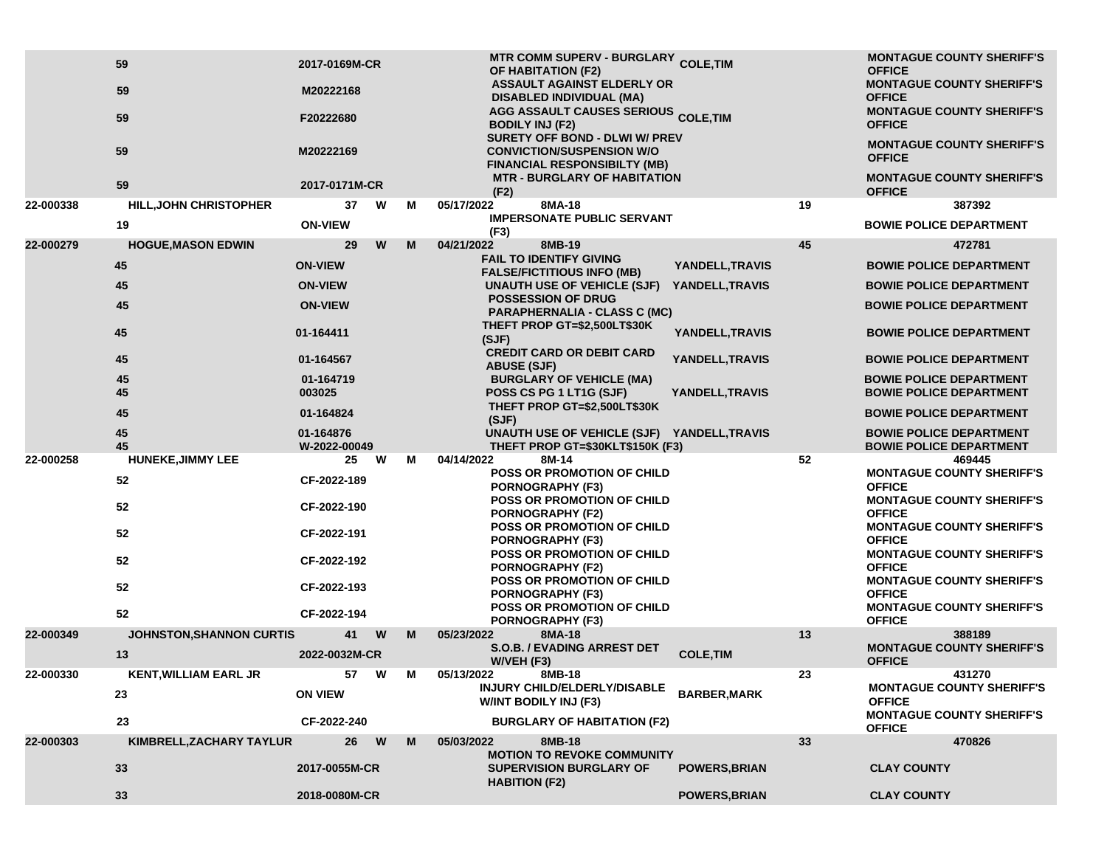|           | 59                              | 2017-0169M-CR             |   |   | MTR COMM SUPERV - BURGLARY COLE, TIM<br><b>OF HABITATION (F2)</b>                                       |                      |    | <b>MONTAGUE COUNTY SHERIFF'S</b><br><b>OFFICE</b>                |
|-----------|---------------------------------|---------------------------|---|---|---------------------------------------------------------------------------------------------------------|----------------------|----|------------------------------------------------------------------|
|           | 59                              | M20222168                 |   |   | <b>ASSAULT AGAINST ELDERLY OR</b><br><b>DISABLED INDIVIDUAL (MA)</b>                                    |                      |    | <b>MONTAGUE COUNTY SHERIFF'S</b><br><b>OFFICE</b>                |
|           | 59                              | F20222680                 |   |   | <b>AGG ASSAULT CAUSES SERIOUS COLE, TIM</b><br><b>BODILY INJ (F2)</b><br>SURETY OFF BOND - DLWI W/ PREV |                      |    | <b>MONTAGUE COUNTY SHERIFF'S</b><br><b>OFFICE</b>                |
|           | 59                              | M20222169                 |   |   | <b>CONVICTION/SUSPENSION W/O</b><br><b>FINANCIAL RESPONSIBILTY (MB)</b>                                 |                      |    | <b>MONTAGUE COUNTY SHERIFF'S</b><br><b>OFFICE</b>                |
|           | 59                              | 2017-0171M-CR             |   |   | <b>MTR - BURGLARY OF HABITATION</b><br>(F2)                                                             |                      |    | <b>MONTAGUE COUNTY SHERIFF'S</b><br><b>OFFICE</b>                |
| 22-000338 | <b>HILL, JOHN CHRISTOPHER</b>   | 37                        | W | M | 8MA-18<br>05/17/2022                                                                                    |                      | 19 | 387392                                                           |
|           | 19                              | <b>ON-VIEW</b>            |   |   | <b>IMPERSONATE PUBLIC SERVANT</b><br>(F3)                                                               |                      |    | <b>BOWIE POLICE DEPARTMENT</b>                                   |
| 22-000279 | <b>HOGUE, MASON EDWIN</b>       | 29                        | W | M | 04/21/2022<br>8MB-19                                                                                    |                      | 45 | 472781                                                           |
|           | 45                              | <b>ON-VIEW</b>            |   |   | <b>FAIL TO IDENTIFY GIVING</b><br><b>FALSE/FICTITIOUS INFO (MB)</b>                                     | YANDELL, TRAVIS      |    | <b>BOWIE POLICE DEPARTMENT</b>                                   |
|           | 45                              | <b>ON-VIEW</b>            |   |   | UNAUTH USE OF VEHICLE (SJF)                                                                             | YANDELL, TRAVIS      |    | <b>BOWIE POLICE DEPARTMENT</b>                                   |
|           | 45                              | <b>ON-VIEW</b>            |   |   | <b>POSSESSION OF DRUG</b><br><b>PARAPHERNALIA - CLASS C (MC)</b>                                        |                      |    | <b>BOWIE POLICE DEPARTMENT</b>                                   |
|           | 45                              | 01-164411                 |   |   | THEFT PROP GT=\$2,500LT\$30K<br>(SJF)                                                                   | YANDELL, TRAVIS      |    | <b>BOWIE POLICE DEPARTMENT</b>                                   |
|           | 45                              | 01-164567                 |   |   | <b>CREDIT CARD OR DEBIT CARD</b><br><b>ABUSE (SJF)</b>                                                  | YANDELL, TRAVIS      |    | <b>BOWIE POLICE DEPARTMENT</b>                                   |
|           | 45<br>45                        | 01-164719<br>003025       |   |   | <b>BURGLARY OF VEHICLE (MA)</b><br>POSS CS PG 1 LT1G (SJF)                                              | YANDELL, TRAVIS      |    | <b>BOWIE POLICE DEPARTMENT</b><br><b>BOWIE POLICE DEPARTMENT</b> |
|           | 45                              | 01-164824                 |   |   | THEFT PROP GT=\$2,500LT\$30K<br>(SJF)                                                                   |                      |    | <b>BOWIE POLICE DEPARTMENT</b>                                   |
|           | 45<br>45                        | 01-164876<br>W-2022-00049 |   |   | UNAUTH USE OF VEHICLE (SJF) YANDELL, TRAVIS<br>THEFT PROP GT=\$30KLT\$150K (F3)                         |                      |    | <b>BOWIE POLICE DEPARTMENT</b><br><b>BOWIE POLICE DEPARTMENT</b> |
| 22-000258 | <b>HUNEKE, JIMMY LEE</b>        | 25                        | W | М | 04/14/2022<br>8M-14<br><b>POSS OR PROMOTION OF CHILD</b>                                                |                      | 52 | 469445<br><b>MONTAGUE COUNTY SHERIFF'S</b>                       |
|           | 52                              | CF-2022-189               |   |   | <b>PORNOGRAPHY (F3)</b>                                                                                 |                      |    | <b>OFFICE</b>                                                    |
|           | 52                              | CF-2022-190               |   |   | POSS OR PROMOTION OF CHILD<br><b>PORNOGRAPHY (F2)</b>                                                   |                      |    | <b>MONTAGUE COUNTY SHERIFF'S</b><br><b>OFFICE</b>                |
|           | 52                              | CF-2022-191               |   |   | <b>POSS OR PROMOTION OF CHILD</b><br><b>PORNOGRAPHY (F3)</b>                                            |                      |    | <b>MONTAGUE COUNTY SHERIFF'S</b><br><b>OFFICE</b>                |
|           | 52                              | CF-2022-192               |   |   | <b>POSS OR PROMOTION OF CHILD</b><br><b>PORNOGRAPHY (F2)</b>                                            |                      |    | <b>MONTAGUE COUNTY SHERIFF'S</b><br><b>OFFICE</b>                |
|           | 52                              | CF-2022-193               |   |   | <b>POSS OR PROMOTION OF CHILD</b><br><b>PORNOGRAPHY (F3)</b>                                            |                      |    | <b>MONTAGUE COUNTY SHERIFF'S</b><br><b>OFFICE</b>                |
|           | 52                              | CF-2022-194               |   |   | <b>POSS OR PROMOTION OF CHILD</b><br>PORNOGRAPHY (F3)                                                   |                      |    | <b>MONTAGUE COUNTY SHERIFF'S</b><br><b>OFFICE</b>                |
| 22-000349 | <b>JOHNSTON, SHANNON CURTIS</b> | 41                        | W | M | 05/23/2022<br>8MA-18                                                                                    |                      | 13 | 388189                                                           |
|           | 13                              | 2022-0032M-CR             |   |   | <b>S.O.B. / EVADING ARREST DET</b><br>W/VEH (F3)                                                        | <b>COLE, TIM</b>     |    | <b>MONTAGUE COUNTY SHERIFF'S</b><br><b>OFFICE</b>                |
| 22-000330 | <b>KENT, WILLIAM EARL JR</b>    | 57                        | W | M | 05/13/2022<br>8MB-18                                                                                    |                      | 23 | 431270                                                           |
|           | 23                              | <b>ON VIEW</b>            |   |   | INJURY CHILD/ELDERLY/DISABLE<br>W/INT BODILY INJ (F3)                                                   | <b>BARBER, MARK</b>  |    | <b>MONTAGUE COUNTY SHERIFF'S</b><br><b>OFFICE</b>                |
|           | 23                              | CF-2022-240               |   |   | <b>BURGLARY OF HABITATION (F2)</b>                                                                      |                      |    | <b>MONTAGUE COUNTY SHERIFF'S</b><br><b>OFFICE</b>                |
| 22-000303 | KIMBRELL, ZACHARY TAYLUR        | 26                        | W | M | 05/03/2022<br>8MB-18                                                                                    |                      | 33 | 470826                                                           |
|           | 33                              | 2017-0055M-CR             |   |   | <b>MOTION TO REVOKE COMMUNITY</b><br><b>SUPERVISION BURGLARY OF</b><br><b>HABITION (F2)</b>             | <b>POWERS, BRIAN</b> |    | <b>CLAY COUNTY</b>                                               |
|           | 33                              | 2018-0080M-CR             |   |   |                                                                                                         | <b>POWERS, BRIAN</b> |    | <b>CLAY COUNTY</b>                                               |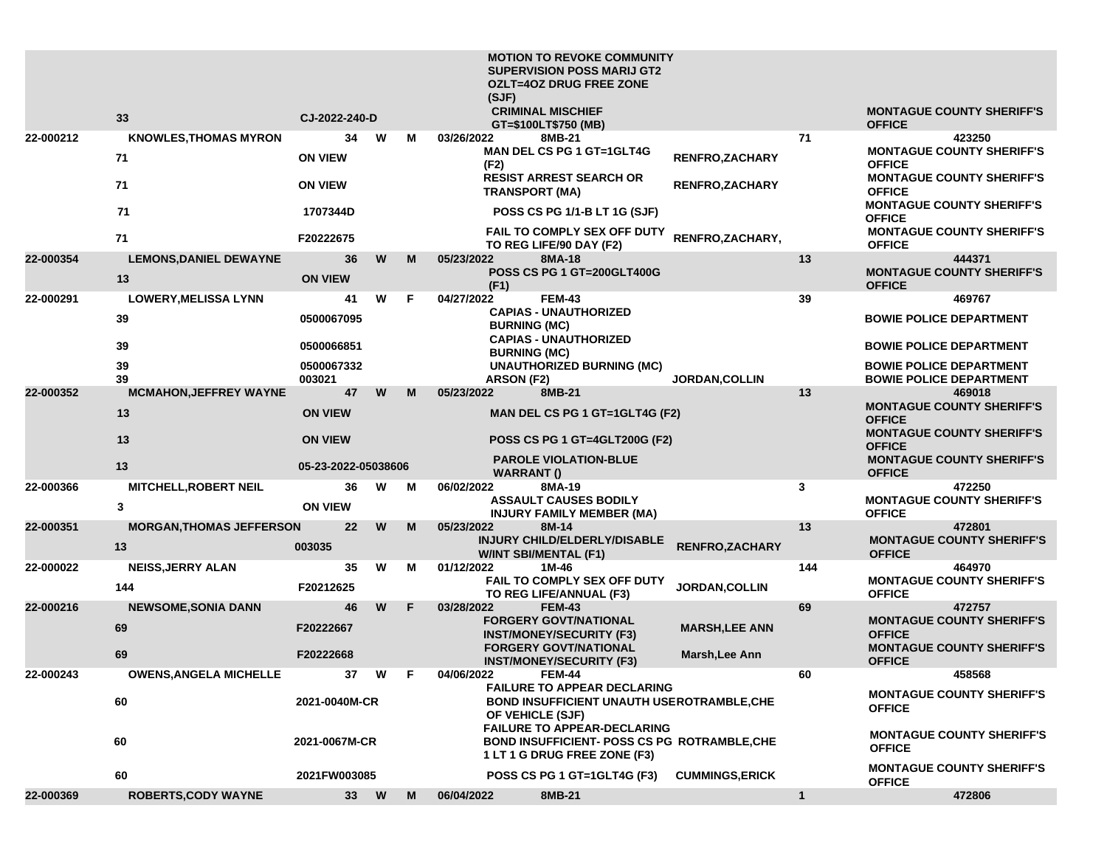|           |                                     |                      |          |     | <b>MOTION TO REVOKE COMMUNITY</b><br><b>SUPERVISION POSS MARIJ GT2</b><br><b>OZLT=4OZ DRUG FREE ZONE</b><br>(SJF)<br><b>CRIMINAL MISCHIEF</b> |                        |              | <b>MONTAGUE COUNTY SHERIFF'S</b>                                 |
|-----------|-------------------------------------|----------------------|----------|-----|-----------------------------------------------------------------------------------------------------------------------------------------------|------------------------|--------------|------------------------------------------------------------------|
|           | 33                                  | CJ-2022-240-D        |          |     | GT=\$100LT\$750 (MB)                                                                                                                          |                        |              | <b>OFFICE</b>                                                    |
| 22-000212 | <b>KNOWLES, THOMAS MYRON</b>        | 34                   | w        | M   | 03/26/2022<br>8MB-21<br><b>MAN DEL CS PG 1 GT=1GLT4G</b>                                                                                      |                        | 71           | 423250<br><b>MONTAGUE COUNTY SHERIFF'S</b>                       |
|           | 71                                  | <b>ON VIEW</b>       |          |     | (F2)<br><b>RESIST ARREST SEARCH OR</b>                                                                                                        | RENFRO, ZACHARY        |              | <b>OFFICE</b><br><b>MONTAGUE COUNTY SHERIFF'S</b>                |
|           | 71                                  | <b>ON VIEW</b>       |          |     | <b>TRANSPORT (MA)</b>                                                                                                                         | <b>RENFRO, ZACHARY</b> |              | <b>OFFICE</b><br><b>MONTAGUE COUNTY SHERIFF'S</b>                |
|           | 71                                  | 1707344D             |          |     | POSS CS PG 1/1-B LT 1G (SJF)<br>FAIL TO COMPLY SEX OFF DUTY                                                                                   |                        |              | <b>OFFICE</b><br><b>MONTAGUE COUNTY SHERIFF'S</b>                |
|           | 71                                  | F20222675            |          |     | TO REG LIFE/90 DAY (F2)                                                                                                                       | RENFRO, ZACHARY,       |              | <b>OFFICE</b>                                                    |
| 22-000354 | <b>LEMONS, DANIEL DEWAYNE</b><br>13 | 36<br><b>ON VIEW</b> | W        | M   | 05/23/2022<br>8MA-18<br><b>POSS CS PG 1 GT=200GLT400G</b>                                                                                     |                        | 13           | 444371<br><b>MONTAGUE COUNTY SHERIFF'S</b>                       |
| 22-000291 | <b>LOWERY, MELISSA LYNN</b>         | 41                   | W        | F   | (F1)<br><b>FEM-43</b><br>04/27/2022                                                                                                           |                        | 39           | <b>OFFICE</b><br>469767                                          |
|           | 39                                  | 0500067095           |          |     | <b>CAPIAS - UNAUTHORIZED</b><br><b>BURNING (MC)</b>                                                                                           |                        |              | <b>BOWIE POLICE DEPARTMENT</b>                                   |
|           | 39                                  | 0500066851           |          |     | <b>CAPIAS - UNAUTHORIZED</b><br><b>BURNING (MC)</b>                                                                                           |                        |              | <b>BOWIE POLICE DEPARTMENT</b>                                   |
|           | 39<br>39                            | 0500067332<br>003021 |          |     | <b>UNAUTHORIZED BURNING (MC)</b><br><b>ARSON (F2)</b>                                                                                         | <b>JORDAN, COLLIN</b>  |              | <b>BOWIE POLICE DEPARTMENT</b><br><b>BOWIE POLICE DEPARTMENT</b> |
| 22-000352 | <b>MCMAHON, JEFFREY WAYNE</b>       | 47                   | W        | M   | 8MB-21<br>05/23/2022                                                                                                                          |                        | 13           | 469018<br><b>MONTAGUE COUNTY SHERIFF'S</b>                       |
|           | 13                                  | <b>ON VIEW</b>       |          |     | MAN DEL CS PG 1 GT=1GLT4G (F2)                                                                                                                |                        |              | <b>OFFICE</b><br><b>MONTAGUE COUNTY SHERIFF'S</b>                |
|           | 13                                  | <b>ON VIEW</b>       |          |     | POSS CS PG 1 GT=4GLT200G (F2)<br><b>PAROLE VIOLATION-BLUE</b>                                                                                 |                        |              | <b>OFFICE</b><br><b>MONTAGUE COUNTY SHERIFF'S</b>                |
|           | 13                                  | 05-23-2022-05038606  |          |     | <b>WARRANT()</b>                                                                                                                              |                        |              | <b>OFFICE</b>                                                    |
| 22-000366 | <b>MITCHELL, ROBERT NEIL</b>        | 36                   | W        | M   | 8MA-19<br>06/02/2022<br><b>ASSAULT CAUSES BODILY</b>                                                                                          |                        | 3            | 472250<br><b>MONTAGUE COUNTY SHERIFF'S</b>                       |
|           | 3                                   | <b>ON VIEW</b>       |          |     | <b>INJURY FAMILY MEMBER (MA)</b>                                                                                                              |                        |              | <b>OFFICE</b>                                                    |
| 22-000351 | <b>MORGAN, THOMAS JEFFERSON</b>     | $22 \overline{ }$    | W        | M   | 05/23/2022<br>8M-14<br><b>INJURY CHILD/ELDERLY/DISABLE</b>                                                                                    |                        | 13           | 472801<br><b>MONTAGUE COUNTY SHERIFF'S</b>                       |
|           | 13                                  | 003035               |          |     | <b>W/INT SBI/MENTAL (F1)</b>                                                                                                                  | RENFRO, ZACHARY        |              | <b>OFFICE</b>                                                    |
| 22-000022 | <b>NEISS, JERRY ALAN</b>            | 35                   | W        | M   | 01/12/2022<br>1M-46<br>FAIL TO COMPLY SEX OFF DUTY                                                                                            |                        | 144          | 464970<br><b>MONTAGUE COUNTY SHERIFF'S</b>                       |
|           | 144                                 | F20212625            |          |     | TO REG LIFE/ANNUAL (F3)                                                                                                                       | <b>JORDAN, COLLIN</b>  |              | <b>OFFICE</b>                                                    |
| 22-000216 | <b>NEWSOME, SONIA DANN</b>          | 46                   | W        | F   | 03/28/2022<br><b>FEM-43</b><br><b>FORGERY GOVT/NATIONAL</b>                                                                                   |                        | 69           | 472757<br><b>MONTAGUE COUNTY SHERIFF'S</b>                       |
|           | 69                                  | F20222667            |          |     | <b>INST/MONEY/SECURITY (F3)</b>                                                                                                               | <b>MARSH, LEE ANN</b>  |              | <b>OFFICE</b>                                                    |
|           | 69                                  | F20222668            |          |     | <b>FORGERY GOVT/NATIONAL</b><br><b>INST/MONEY/SECURITY (F3)</b>                                                                               | Marsh, Lee Ann         |              | <b>MONTAGUE COUNTY SHERIFF'S</b><br><b>OFFICE</b>                |
| 22-000243 | <b>OWENS, ANGELA MICHELLE</b>       | 37                   | <b>W</b> | - F | 04/06/2022<br><b>FEM-44</b>                                                                                                                   |                        | 60           | 458568                                                           |
|           | 60                                  | 2021-0040M-CR        |          |     | <b>FAILURE TO APPEAR DECLARING</b><br><b>BOND INSUFFICIENT UNAUTH USEROTRAMBLE, CHE</b><br>OF VEHICLE (SJF)                                   |                        |              | <b>MONTAGUE COUNTY SHERIFF'S</b><br><b>OFFICE</b>                |
|           | 60                                  | 2021-0067M-CR        |          |     | <b>FAILURE TO APPEAR-DECLARING</b><br><b>BOND INSUFFICIENT- POSS CS PG ROTRAMBLE, CHE</b><br>1 LT 1 G DRUG FREE ZONE (F3)                     |                        |              | <b>MONTAGUE COUNTY SHERIFF'S</b><br><b>OFFICE</b>                |
|           | 60                                  | 2021FW003085         |          |     | POSS CS PG 1 GT=1GLT4G (F3)                                                                                                                   | <b>CUMMINGS,ERICK</b>  |              | <b>MONTAGUE COUNTY SHERIFF'S</b><br><b>OFFICE</b>                |
| 22-000369 | <b>ROBERTS, CODY WAYNE</b>          | 33 W                 |          | M   | 06/04/2022<br>8MB-21                                                                                                                          |                        | $\mathbf{1}$ | 472806                                                           |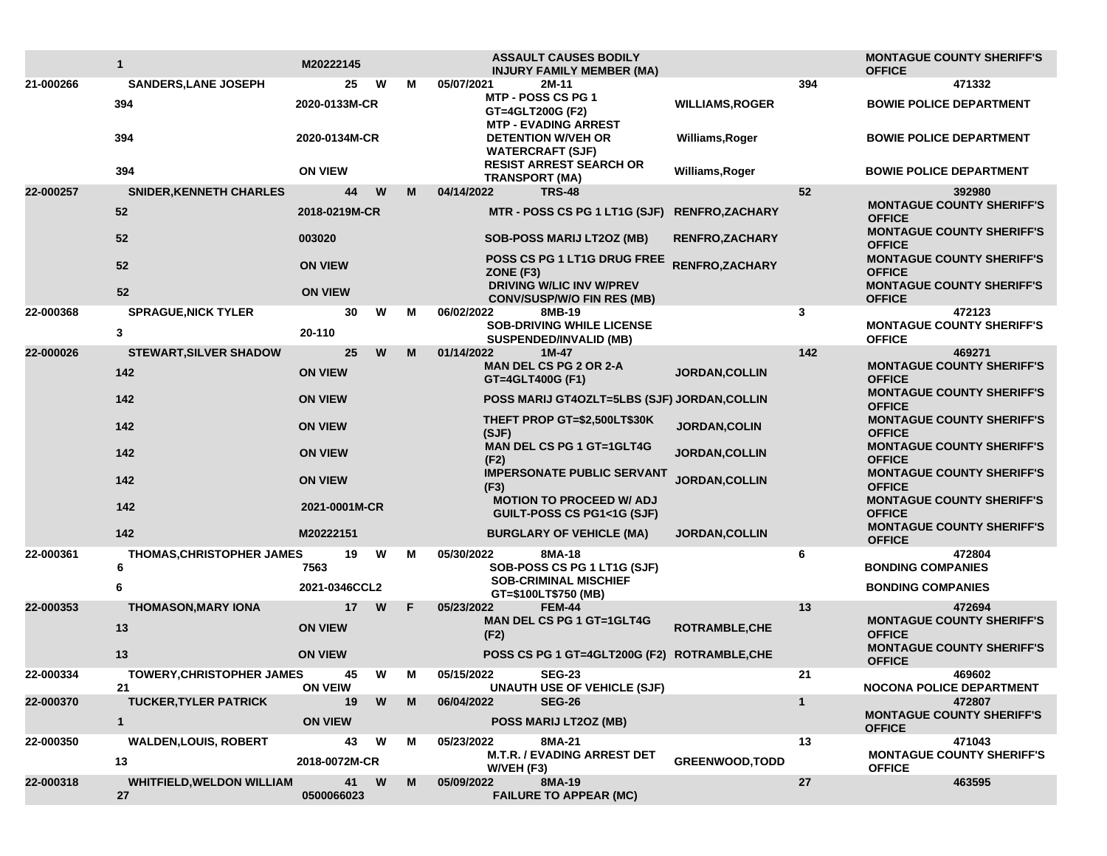|           | $\mathbf{1}$                           | M20222145            |          |   | <b>ASSAULT CAUSES BODILY</b><br><b>INJURY FAMILY MEMBER (MA)</b>                          |                        |              | <b>MONTAGUE COUNTY SHERIFF'S</b><br><b>OFFICE</b>           |
|-----------|----------------------------------------|----------------------|----------|---|-------------------------------------------------------------------------------------------|------------------------|--------------|-------------------------------------------------------------|
| 21-000266 | <b>SANDERS, LANE JOSEPH</b>            | 25                   | W        | м | 05/07/2021<br>2M-11                                                                       |                        | 394          | 471332                                                      |
|           | 394                                    | 2020-0133M-CR        |          |   | <b>MTP - POSS CS PG 1</b><br>GT=4GLT200G (F2)<br><b>MTP - EVADING ARREST</b>              | <b>WILLIAMS, ROGER</b> |              | <b>BOWIE POLICE DEPARTMENT</b>                              |
|           | 394                                    | 2020-0134M-CR        |          |   | <b>DETENTION W/VEH OR</b><br><b>WATERCRAFT (SJF)</b>                                      | Williams, Roger        |              | <b>BOWIE POLICE DEPARTMENT</b>                              |
|           | 394                                    | <b>ON VIEW</b>       |          |   | <b>RESIST ARREST SEARCH OR</b><br><b>TRANSPORT (MA)</b>                                   | Williams, Roger        |              | <b>BOWIE POLICE DEPARTMENT</b>                              |
| 22-000257 | <b>SNIDER, KENNETH CHARLES</b>         | 44                   | W        | M | 04/14/2022<br><b>TRS-48</b>                                                               |                        | 52           | 392980                                                      |
|           | 52                                     | 2018-0219M-CR        |          |   | MTR - POSS CS PG 1 LT1G (SJF) RENFRO, ZACHARY                                             |                        |              | <b>MONTAGUE COUNTY SHERIFF'S</b><br><b>OFFICE</b>           |
|           | 52                                     | 003020               |          |   | <b>SOB-POSS MARIJ LT2OZ (MB)</b>                                                          | <b>RENFRO,ZACHARY</b>  |              | <b>MONTAGUE COUNTY SHERIFF'S</b><br><b>OFFICE</b>           |
|           | 52                                     | <b>ON VIEW</b>       |          |   | POSS CS PG 1 LT1G DRUG FREE<br>ZONE (F3)                                                  | <b>RENFRO, ZACHARY</b> |              | <b>MONTAGUE COUNTY SHERIFF'S</b><br><b>OFFICE</b>           |
|           | 52                                     | <b>ON VIEW</b>       |          |   | <b>DRIVING W/LIC INV W/PREV</b><br><b>CONV/SUSP/W/O FIN RES (MB)</b>                      |                        |              | <b>MONTAGUE COUNTY SHERIFF'S</b><br><b>OFFICE</b>           |
| 22-000368 | <b>SPRAGUE, NICK TYLER</b><br>3        | 30<br>20-110         | W        | М | 06/02/2022<br>8MB-19<br><b>SOB-DRIVING WHILE LICENSE</b><br><b>SUSPENDED/INVALID (MB)</b> |                        | 3            | 472123<br><b>MONTAGUE COUNTY SHERIFF'S</b><br><b>OFFICE</b> |
| 22-000026 | STEWART, SILVER SHADOW                 | 25                   | W        | M | 01/14/2022<br>$1M-47$                                                                     |                        | 142          | 469271                                                      |
|           | 142                                    | <b>ON VIEW</b>       |          |   | <b>MAN DEL CS PG 2 OR 2-A</b><br>GT=4GLT400G (F1)                                         | <b>JORDAN,COLLIN</b>   |              | <b>MONTAGUE COUNTY SHERIFF'S</b><br><b>OFFICE</b>           |
|           | 142                                    | <b>ON VIEW</b>       |          |   | POSS MARIJ GT4OZLT=5LBS (SJF) JORDAN, COLLIN                                              |                        |              | <b>MONTAGUE COUNTY SHERIFF'S</b><br><b>OFFICE</b>           |
|           | 142                                    | <b>ON VIEW</b>       |          |   | THEFT PROP GT=\$2,500LT\$30K<br>(SJF)                                                     | <b>JORDAN, COLIN</b>   |              | <b>MONTAGUE COUNTY SHERIFF'S</b><br><b>OFFICE</b>           |
|           | 142                                    | <b>ON VIEW</b>       |          |   | <b>MAN DEL CS PG 1 GT=1GLT4G</b><br>(F2)                                                  | <b>JORDAN, COLLIN</b>  |              | <b>MONTAGUE COUNTY SHERIFF'S</b><br><b>OFFICE</b>           |
|           | 142                                    | <b>ON VIEW</b>       |          |   | <b>IMPERSONATE PUBLIC SERVANT</b><br>(F3)                                                 | JORDAN, COLLIN         |              | <b>MONTAGUE COUNTY SHERIFF'S</b><br><b>OFFICE</b>           |
|           | 142                                    | 2021-0001M-CR        |          |   | <b>MOTION TO PROCEED W/ ADJ</b><br><b>GUILT-POSS CS PG1&lt;1G (SJF)</b>                   |                        |              | <b>MONTAGUE COUNTY SHERIFF'S</b><br><b>OFFICE</b>           |
|           | 142                                    | M20222151            |          |   | <b>BURGLARY OF VEHICLE (MA)</b>                                                           | <b>JORDAN, COLLIN</b>  |              | <b>MONTAGUE COUNTY SHERIFF'S</b><br><b>OFFICE</b>           |
| 22-000361 | <b>THOMAS, CHRISTOPHER JAMES</b><br>6  | 19<br>7563           | W        | м | 8MA-18<br>05/30/2022<br>SOB-POSS CS PG 1 LT1G (SJF)                                       |                        | 6            | 472804<br><b>BONDING COMPANIES</b>                          |
|           | 6                                      | 2021-0346CCL2        |          |   | <b>SOB-CRIMINAL MISCHIEF</b><br>GT=\$100LT\$750 (MB)                                      |                        |              | <b>BONDING COMPANIES</b>                                    |
| 22-000353 | <b>THOMASON, MARY IONA</b>             | 17                   | W        | F | 05/23/2022<br><b>FEM-44</b>                                                               |                        | 13           | 472694                                                      |
|           | 13                                     | <b>ON VIEW</b>       |          |   | <b>MAN DEL CS PG 1 GT=1GLT4G</b><br>(F2)                                                  | <b>ROTRAMBLE,CHE</b>   |              | <b>MONTAGUE COUNTY SHERIFF'S</b><br><b>OFFICE</b>           |
|           | 13                                     | <b>ON VIEW</b>       |          |   | POSS CS PG 1 GT=4GLT200G (F2) ROTRAMBLE, CHE                                              |                        |              | <b>MONTAGUE COUNTY SHERIFF'S</b><br><b>OFFICE</b>           |
| 22-000334 | <b>TOWERY, CHRISTOPHER JAMES</b>       | 45                   | W        | M | 05/15/2022<br><b>SEG-23</b>                                                               |                        | 21           | 469602                                                      |
| 22-000370 | 21<br><b>TUCKER, TYLER PATRICK</b>     | <b>ON VEIW</b><br>19 | W        | M | <b>UNAUTH USE OF VEHICLE (SJF)</b><br>06/04/2022<br><b>SEG-26</b>                         |                        | $\mathbf{1}$ | <b>NOCONA POLICE DEPARTMENT</b><br>472807                   |
|           | $\mathbf{1}$                           | <b>ON VIEW</b>       |          |   | POSS MARIJ LT2OZ (MB)                                                                     |                        |              | <b>MONTAGUE COUNTY SHERIFF'S</b><br><b>OFFICE</b>           |
| 22-000350 | <b>WALDEN, LOUIS, ROBERT</b>           | 43                   | <b>W</b> | М | 8MA-21<br>05/23/2022                                                                      |                        | 13           | 471043                                                      |
|           | 13                                     | 2018-0072M-CR        |          |   | <b>M.T.R. / EVADING ARREST DET</b><br>W/VEH (F3)                                          | <b>GREENWOOD, TODD</b> |              | <b>MONTAGUE COUNTY SHERIFF'S</b><br><b>OFFICE</b>           |
| 22-000318 | <b>WHITFIELD, WELDON WILLIAM</b><br>27 | 0500066023           | 41 W     | M | 8MA-19<br>05/09/2022<br><b>FAILURE TO APPEAR (MC)</b>                                     |                        | 27           | 463595                                                      |